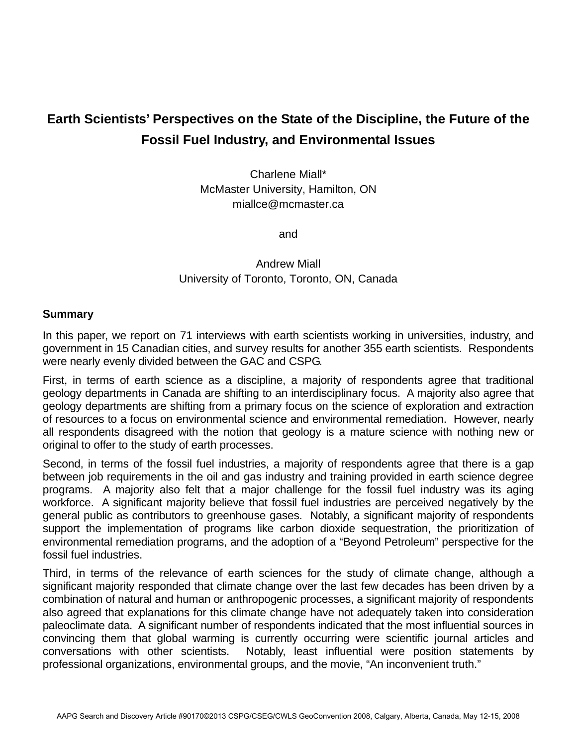## **Earth Scientists' Perspectives on the State of the Discipline, the Future of the Fossil Fuel Industry, and Environmental Issues**

Charlene Miall\* McMaster University, Hamilton, ON miallce@mcmaster.ca

and

## Andrew Miall University of Toronto, Toronto, ON, Canada

## **Summary**

In this paper, we report on 71 interviews with earth scientists working in universities, industry, and government in 15 Canadian cities, and survey results for another 355 earth scientists. Respondents were nearly evenly divided between the GAC and CSPG.

First, in terms of earth science as a discipline, a majority of respondents agree that traditional geology departments in Canada are shifting to an interdisciplinary focus. A majority also agree that geology departments are shifting from a primary focus on the science of exploration and extraction of resources to a focus on environmental science and environmental remediation. However, nearly all respondents disagreed with the notion that geology is a mature science with nothing new or original to offer to the study of earth processes.

Second, in terms of the fossil fuel industries, a majority of respondents agree that there is a gap between job requirements in the oil and gas industry and training provided in earth science degree programs. A majority also felt that a major challenge for the fossil fuel industry was its aging workforce. A significant majority believe that fossil fuel industries are perceived negatively by the general public as contributors to greenhouse gases. Notably, a significant majority of respondents support the implementation of programs like carbon dioxide sequestration, the prioritization of environmental remediation programs, and the adoption of a "Beyond Petroleum" perspective for the fossil fuel industries.

Third, in terms of the relevance of earth sciences for the study of climate change, although a significant majority responded that climate change over the last few decades has been driven by a combination of natural and human or anthropogenic processes, a significant majority of respondents also agreed that explanations for this climate change have not adequately taken into consideration paleoclimate data. A significant number of respondents indicated that the most influential sources in convincing them that global warming is currently occurring were scientific journal articles and conversations with other scientists. Notably, least influential were position statements by professional organizations, environmental groups, and the movie, "An inconvenient truth."